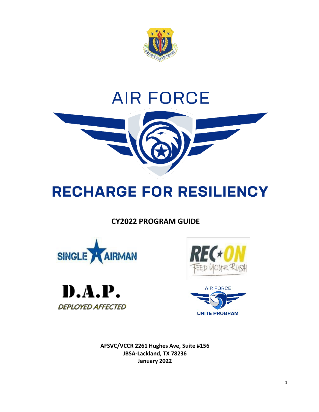

# **AIR FORCE**



# **RECHARGE FOR RESILIENCY**

# **CY2022 PROGRAM GUIDE**









**AFSVC/VCCR 2261 Hughes Ave, Suite #156 JBSA-Lackland, TX 78236 January 2022**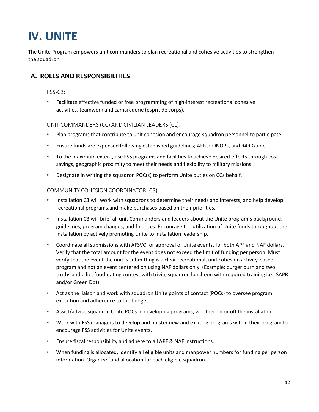# **IV. UNITE**

The Unite Program empowers unit commanders to plan recreational and cohesive activities to strengthen the squadron.

# **A. ROLES AND RESPONSIBILITIES**

#### FSS-C3:

• Facilitate effective funded or free programming of high-interest recreational cohesive activities, teamwork and camaraderie (esprit de corps).

#### UNIT COMMANDERS (CC) AND CIVILIAN LEADERS (CL):

- Plan programs that contribute to unit cohesion and encourage squadron personnel to participate.
- Ensure funds are expensed following established guidelines; AFIs, CONOPs, and R4R Guide.
- To the maximum extent, use FSS programs and facilities to achieve desired effects through cost savings, geographic proximity to meet their needs and flexibility to military missions.
- Designate in writing the squadron POC(s) to perform Unite duties on CCs behalf.

#### COMMUNITY COHESION COORDINATOR (C3):

- Installation C3 will work with squadrons to determine their needs and interests, and help develop recreational programs,and make purchases based on their priorities.
- Installation C3 will brief all unit Commanders and leaders about the Unite program's background, guidelines, program changes, and finances. Encourage the utilization of Unite funds throughout the installation by actively promoting Unite to installation leadership.
- Coordinate all submissions with AFSVC for approval of Unite events, for both APF and NAF dollars. Verify that the total amount for the event does not exceed the limit of funding per person. Must verify that the event the unit is submitting is a clear recreational, unit cohesion activity-based program and not an event centered on using NAF dollars only. (Example: burger burn and two truths and a lie, food-eating contest with trivia, squadron luncheon with required training i.e., SAPR and/or Green Dot).
- Act as the liaison and work with squadron Unite points of contact (POCs) to oversee program execution and adherence to the budget.
- Assist/advise squadron Unite POCs in developing programs, whether on or off the installation.
- Work with FSS managers to develop and bolster new and exciting programs within their program to encourage FSS activities for Unite events.
- Ensure fiscal responsibility and adhere to all APF & NAF instructions.
- When funding is allocated, identify all eligible units and manpower numbers for funding per person information. Organize fund allocation for each eligible squadron.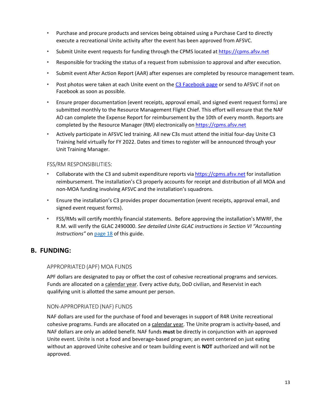- Purchase and procure products and services being obtained using a Purchase Card to directly execute a recreational Unite activity after the event has been approved from AFSVC.
- Submit Unite event requests for funding through the CPMS located at [https://cpms.afsv.net](https://cpms.afsv.net/)
- Responsible for tracking the status of a request from submission to approval and after execution.
- Submit event After Action Report (AAR) after expenses are completed by resource management team.
- Post photos were taken at each Unite event on the C3 [Facebook](https://www.facebook.com/groups/183176649303527/) page or send to AFSVC if not on Facebook as soon as possible.
- Ensure proper documentation (event receipts, approval email, and signed event request forms) are submitted monthly to the Resource Management Flight Chief. This effort will ensure that the NAF AO can complete the Expense Report for reimbursement by the 10th of every month. Reports are completed by the Resource Manager (RM) electronically on [https://cpms.afsv.net](https://cpms.afsv.net/)
- Actively participate in AFSVC led training. All new C3s must attend the initial four-day Unite C3 Training held virtually for FY 2022. Dates and times to register will be announced through your Unit Training Manager.

#### FSS/RM RESPONSIBILITIES:

- Collaborate with the C3 and submit expenditure reports via [https://cpms.afsv.net](https://cpms.afsv.net/) for installation reimbursement. The installation's C3 properly accounts for receipt and distribution of all MOA and non-MOA funding involving AFSVC and the installation's squadrons.
- Ensure the installation's C3 provides proper documentation (event receipts, approval email, and signed event request forms).
- FSS/RMs will certify monthly financial statements. Before approving the installation's MWRF, the R.M. will verify the GLAC 2490000. *See detailed Unite GLAC instructions in Section VI "Accounting Instructions"* on page 18 of this guide.

#### **B. FUNDING:**

#### APPROPRIATED (APF) MOA FUNDS

APF dollars are designated to pay or offset the cost of cohesive recreational programs and services. Funds are allocated on a calendar year. Every active duty, DoD civilian, and Reservist in each qualifying unit is allotted the same amount per person.

#### NON-APPROPRIATED (NAF) FUNDS

NAF dollars are used for the purchase of food and beverages in support of R4R Unite recreational cohesive programs. Funds are allocated on a calendar year. The Unite program is activity-based, and NAF dollars are only an added benefit. NAF funds **must** be directly in conjunction with an approved Unite event. Unite is not a food and beverage-based program; an event centered on just eating without an approved Unite cohesive and or team building event is **NOT** authorized and will not be approved.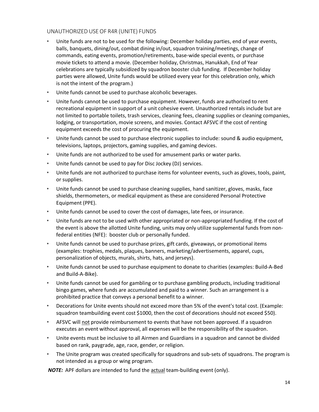#### UNAUTHORIZED USEOF R4R (UNITE) FUNDS

- Unite funds are not to be used for the following: December holiday parties, end of year events, balls, banquets, dining/out, combat dining in/out, squadron training/meetings, change of commands, eating events, promotion/retirements, base-wide special events, or purchase movie tickets to attend a movie. (December holiday, Christmas, Hanukkah, End of Year celebrations are typically subsidized by squadron booster club funding. If December holiday parties were allowed, Unite funds would be utilized every year for this celebration only, which is not the intent of the program.)
- Unite funds cannot be used to purchase alcoholic beverages.
- Unite funds cannot be used to purchase equipment. However, funds are authorized to rent recreational equipment in support of a unit cohesive event. Unauthorized rentals include but are not limited to portable toilets, trash services, cleaning fees, cleaning supplies or cleaning companies, lodging, or transportation, movie screens, and movies. Contact AFSVC if the cost of renting equipment exceeds the cost of procuring the equipment.
- Unite funds cannot be used to purchase electronic supplies to include: sound & audio equipment, televisions, laptops, projectors, gaming supplies, and gaming devices.
- Unite funds are not authorized to be used for amusement parks or water parks.
- Unite funds cannot be used to pay for Disc Jockey (DJ) services.
- Unite funds are not authorized to purchase items for volunteer events, such as gloves, tools, paint, or supplies.
- Unite funds cannot be used to purchase cleaning supplies, hand sanitizer, gloves, masks, face shields, thermometers, or medical equipment as these are considered Personal Protective Equipment (PPE).
- Unite funds cannot be used to cover the cost of damages, late fees, or insurance.
- Unite funds are not to be used with other appropriated or non-appropriated funding. If the cost of the event is above the allotted Unite funding, units may only utilize supplemental funds from nonfederal entities (NFE): booster club or personally funded.
- Unite funds cannot be used to purchase prizes, gift cards, giveaways, or promotional items (examples: trophies, medals, plaques, banners, marketing/advertisements, apparel, cups, personalization of objects, murals, shirts, hats, and jerseys).
- Unite funds cannot be used to purchase equipment to donate to charities (examples: Build-A-Bed and Build-A-Bike).
- Unite funds cannot be used for gambling or to purchase gambling products, including traditional bingo games, where funds are accumulated and paid to a winner. Such an arrangement is a prohibited practice that conveys a personal benefit to a winner.
- Decorations for Unite events should not exceed more than 5% of the event's total cost. (Example: squadron teambuilding event cost \$1000, then the cost of decorations should not exceed \$50).
- AFSVC will not provide reimbursement to events that have not been approved. If a squadron executes an event without approval, all expenses will be the responsibility of the squadron.
- Unite events must be inclusive to all Airmen and Guardians in a squadron and cannot be divided based on rank, paygrade, age, race, gender, or religion.
- The Unite program was created specifically for squadrons and sub-sets of squadrons. The program is not intended as a group or wing program.

*NOTE:* APF dollars are intended to fund the actual team-building event (only).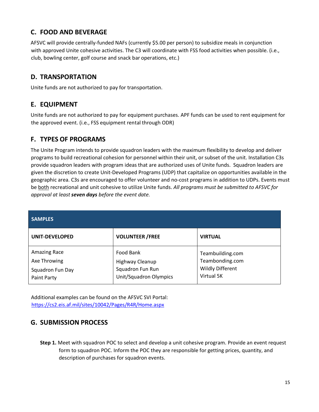# **C. FOOD AND BEVERAGE**

AFSVC will provide centrally-funded NAFs (currently \$5.00 per person) to subsidize meals in conjunction with approved Unite cohesive activities. The C3 will coordinate with FSS food activities when possible. (i.e., club, bowling center, golf course and snack bar operations, etc.)

### **D. TRANSPORTATION**

Unite funds are not authorized to pay for transportation.

# **E. EQUIPMENT**

Unite funds are not authorized to pay for equipment purchases. APF funds can be used to rent equipment for the approved event. (i.e., FSS equipment rental through ODR)

# **F. TYPES OF PROGRAMS**

The Unite Program intends to provide squadron leaders with the maximum flexibility to develop and deliver programs to build recreational cohesion for personnel within their unit, or subset of the unit. Installation C3s provide squadron leaders with program ideas that are authorized uses of Unite funds. Squadron leaders are given the discretion to create Unit-Developed Programs (UDP) that capitalize on opportunities available in the geographic area. C3s are encouraged to offer volunteer and no-cost programs in addition to UDPs. Events must be both recreational and unit cohesive to utilize Unite funds. *All programs must be submitted to AFSVC for approval at least seven days before the event date.*

| <b>SAMPLES</b>                                                  |                                                                            |                                                                              |
|-----------------------------------------------------------------|----------------------------------------------------------------------------|------------------------------------------------------------------------------|
| <b>UNIT-DEVELOPED</b>                                           | <b>VOLUNTEER / FREE</b>                                                    | <b>VIRTUAL</b>                                                               |
| Amazing Race<br>Axe Throwing<br>Squadron Fun Day<br>Paint Party | Food Bank<br>Highway Cleanup<br>Squadron Fun Run<br>Unit/Squadron Olympics | Teambuilding.com<br>Teambonding.com<br><b>Wildly Different</b><br>Virtual 5K |

Additional examples can be found on the AFSVC SVI Portal: <https://cs2.eis.af.mil/sites/10042/Pages/R4R/Home.aspx>

# **G. SUBMISSION PROCESS**

**Step 1.** Meet with squadron POC to select and develop a unit cohesive program. Provide an event request form to squadron POC. Inform the POC they are responsible for getting prices, quantity, and description of purchases for squadron events.